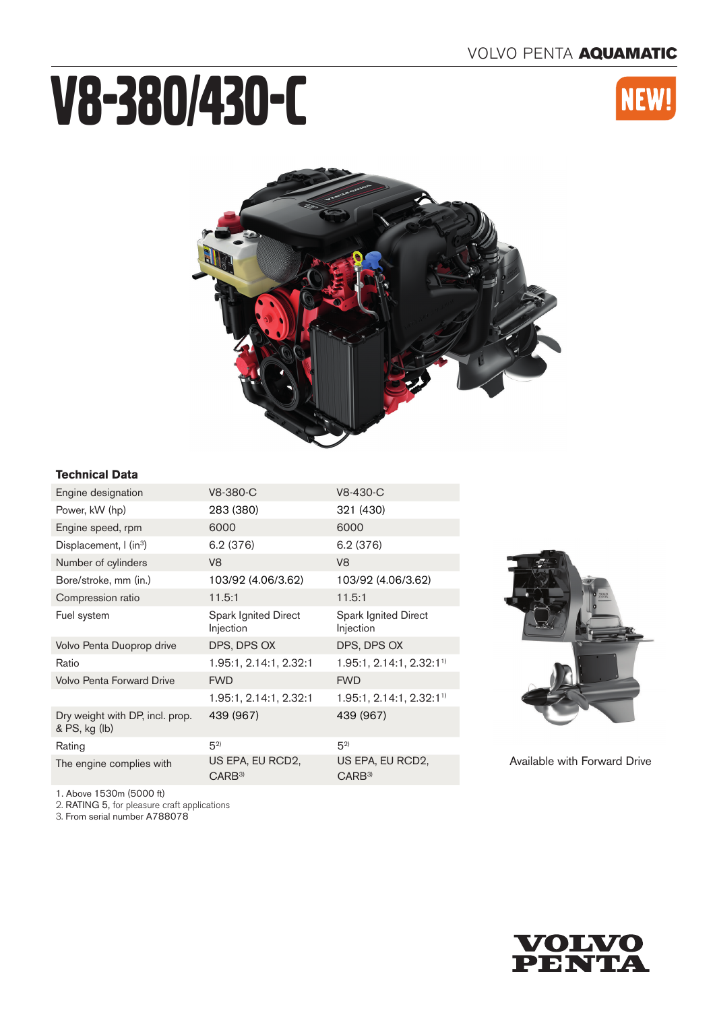# V8-380/430-C





# **Technical Data**

| Engine designation                               | V8-380-C                                 | V8-430-C                                 |
|--------------------------------------------------|------------------------------------------|------------------------------------------|
| Power, kW (hp)                                   | 283 (380)                                | 321 (430)                                |
| Engine speed, rpm                                | 6000                                     | 6000                                     |
| Displacement, I (in <sup>3</sup> )               | 6.2(376)                                 | 6.2 (376)                                |
| Number of cylinders                              | V <sub>8</sub>                           | V <sub>8</sub>                           |
| Bore/stroke, mm (in.)                            | 103/92 (4.06/3.62)                       | 103/92 (4.06/3.62)                       |
| Compression ratio                                | 11.5:1                                   | 11.5:1                                   |
| Fuel system                                      | <b>Spark Ignited Direct</b><br>Injection | <b>Spark Ignited Direct</b><br>Injection |
| Volvo Penta Duoprop drive                        | DPS, DPS OX                              | DPS, DPS OX                              |
| Ratio                                            | 1.95:1, 2.14:1, 2.32:1                   | 1.95:1, 2.14:1, 2.32:11)                 |
| <b>Volvo Penta Forward Drive</b>                 | <b>FWD</b>                               | <b>FWD</b>                               |
|                                                  | 1.95:1, 2.14:1, 2.32:1                   | 1.95:1, 2.14:1, 2.32:1 <sup>1</sup>      |
| Dry weight with DP, incl. prop.<br>& PS, kg (lb) | 439 (967)                                | 439 (967)                                |
| Rating                                           | $5^{2}$                                  | $5^{2}$                                  |
| The engine complies with                         | US EPA, EU RCD2,<br>CARB <sup>3</sup>    | US EPA, EU RCD2,<br>CARB <sup>3</sup>    |



Available with Forward Drive

1. Above 1530m (5000 ft)

2. RATING 5, for pleasure craft applications

3. From serial number A788078